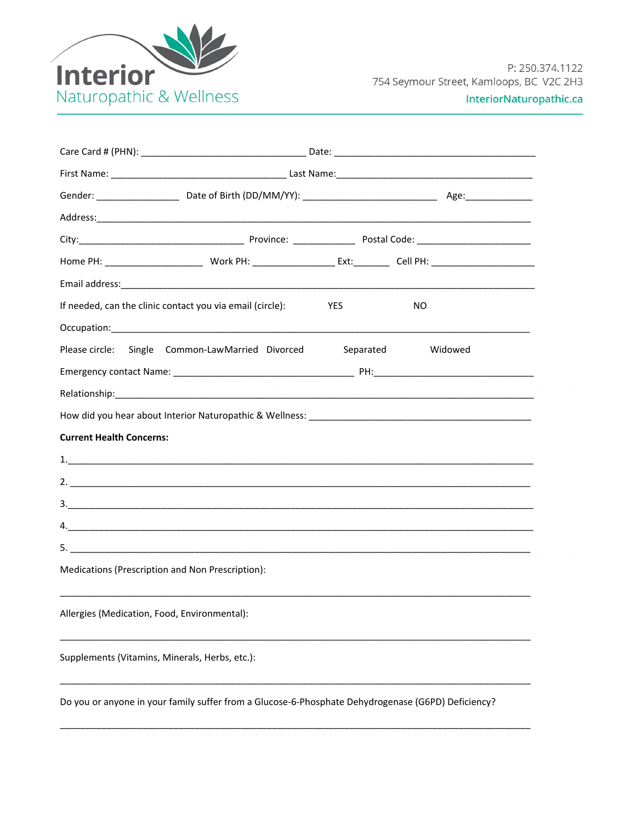

|                                                | If needed, can the clinic contact you via email (circle):                                          | <b>YES</b> | NO.     |  |
|------------------------------------------------|----------------------------------------------------------------------------------------------------|------------|---------|--|
|                                                |                                                                                                    |            |         |  |
|                                                | Please circle: Single Common-LawMarried Divorced                                                   | Separated  | Widowed |  |
|                                                |                                                                                                    |            |         |  |
|                                                |                                                                                                    |            |         |  |
|                                                |                                                                                                    |            |         |  |
| <b>Current Health Concerns:</b>                |                                                                                                    |            |         |  |
|                                                |                                                                                                    |            |         |  |
|                                                |                                                                                                    |            |         |  |
|                                                |                                                                                                    |            |         |  |
|                                                | $\mathbf{4.}$                                                                                      |            |         |  |
|                                                |                                                                                                    |            |         |  |
|                                                | Medications (Prescription and Non Prescription):                                                   |            |         |  |
| Allergies (Medication, Food, Environmental):   |                                                                                                    |            |         |  |
| Supplements (Vitamins, Minerals, Herbs, etc.): |                                                                                                    |            |         |  |
|                                                | Do you or anyone in your family suffer from a Glucose-6-Phosphate Dehydrogenase (G6PD) Deficiency? |            |         |  |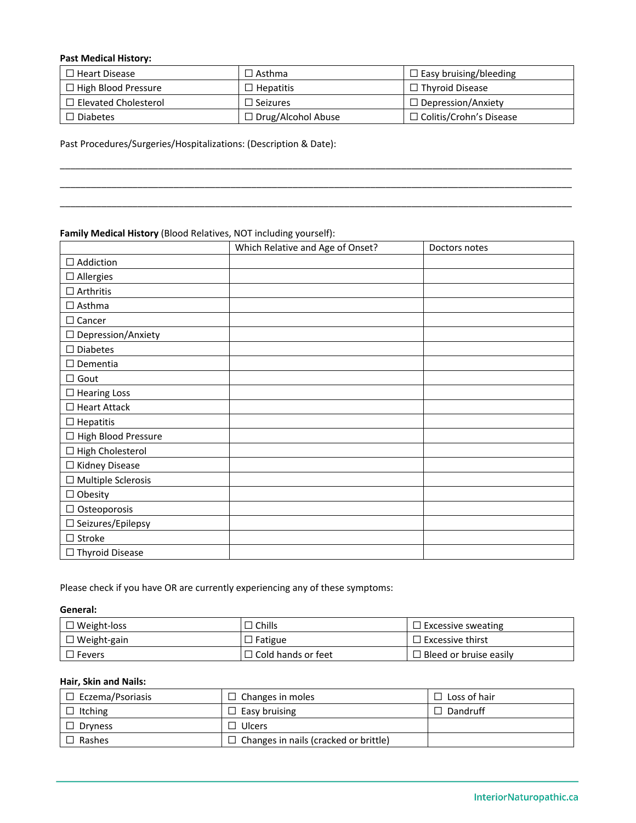#### **Past Medical History:**

| $\Box$ Heart Disease        | $\Box$ Asthma             | $\Box$ Easy bruising/bleeding |
|-----------------------------|---------------------------|-------------------------------|
| $\Box$ High Blood Pressure  | $\Box$ Hepatitis          | $\Box$ Thyroid Disease        |
| $\Box$ Elevated Cholesterol | $\Box$ Seizures           | $\Box$ Depression/Anxiety     |
| <b>Diabetes</b>             | $\Box$ Drug/Alcohol Abuse | □ Colitis/Crohn's Disease     |

\_\_\_\_\_\_\_\_\_\_\_\_\_\_\_\_\_\_\_\_\_\_\_\_\_\_\_\_\_\_\_\_\_\_\_\_\_\_\_\_\_\_\_\_\_\_\_\_\_\_\_\_\_\_\_\_\_\_\_\_\_\_\_\_\_\_\_\_\_\_\_\_\_\_\_\_\_\_\_\_\_\_\_\_\_\_\_\_\_\_\_\_\_\_\_\_\_\_\_ \_\_\_\_\_\_\_\_\_\_\_\_\_\_\_\_\_\_\_\_\_\_\_\_\_\_\_\_\_\_\_\_\_\_\_\_\_\_\_\_\_\_\_\_\_\_\_\_\_\_\_\_\_\_\_\_\_\_\_\_\_\_\_\_\_\_\_\_\_\_\_\_\_\_\_\_\_\_\_\_\_\_\_\_\_\_\_\_\_\_\_\_\_\_\_\_\_\_\_ \_\_\_\_\_\_\_\_\_\_\_\_\_\_\_\_\_\_\_\_\_\_\_\_\_\_\_\_\_\_\_\_\_\_\_\_\_\_\_\_\_\_\_\_\_\_\_\_\_\_\_\_\_\_\_\_\_\_\_\_\_\_\_\_\_\_\_\_\_\_\_\_\_\_\_\_\_\_\_\_\_\_\_\_\_\_\_\_\_\_\_\_\_\_\_\_\_\_\_

Past Procedures/Surgeries/Hospitalizations: (Description & Date):

#### **Family Medical History** (Blood Relatives, NOT including yourself):

|                              | Which Relative and Age of Onset? | Doctors notes |
|------------------------------|----------------------------------|---------------|
| $\Box$ Addiction             |                                  |               |
| $\square$ Allergies          |                                  |               |
| $\Box$ Arthritis             |                                  |               |
| $\Box$ Asthma                |                                  |               |
| $\Box$ Cancer                |                                  |               |
| $\square$ Depression/Anxiety |                                  |               |
| $\square$ Diabetes           |                                  |               |
| $\Box$ Dementia              |                                  |               |
| $\Box$ Gout                  |                                  |               |
| $\Box$ Hearing Loss          |                                  |               |
| $\Box$ Heart Attack          |                                  |               |
| $\Box$ Hepatitis             |                                  |               |
| High Blood Pressure<br>□     |                                  |               |
| $\Box$ High Cholesterol      |                                  |               |
| □ Kidney Disease             |                                  |               |
| $\square$ Multiple Sclerosis |                                  |               |
| $\Box$ Obesity               |                                  |               |
| $\Box$ Osteoporosis          |                                  |               |
| □ Seizures/Epilepsy          |                                  |               |
| $\Box$ Stroke                |                                  |               |
| $\Box$ Thyroid Disease       |                                  |               |

Please check if you have OR are currently experiencing any of these symptoms:

#### **General:**

| Weight-loss        | Chills                    | $\Box$ Excessive sweating     |
|--------------------|---------------------------|-------------------------------|
| $\Box$ Weight-gain | Fatigue                   | l Excessive thirst            |
| Fevers             | $\Box$ Cold hands or feet | $\Box$ Bleed or bruise easilv |

## **Hair, Skin and Nails:**

| ] Eczema/Psoriasis | $\Box$ Changes in moles                      | Loss of hair |
|--------------------|----------------------------------------------|--------------|
| <b>Itching</b>     | Easy bruising                                | Dandruff     |
| Drvness            | Ulcers                                       |              |
| Rashes             | $\Box$ Changes in nails (cracked or brittle) |              |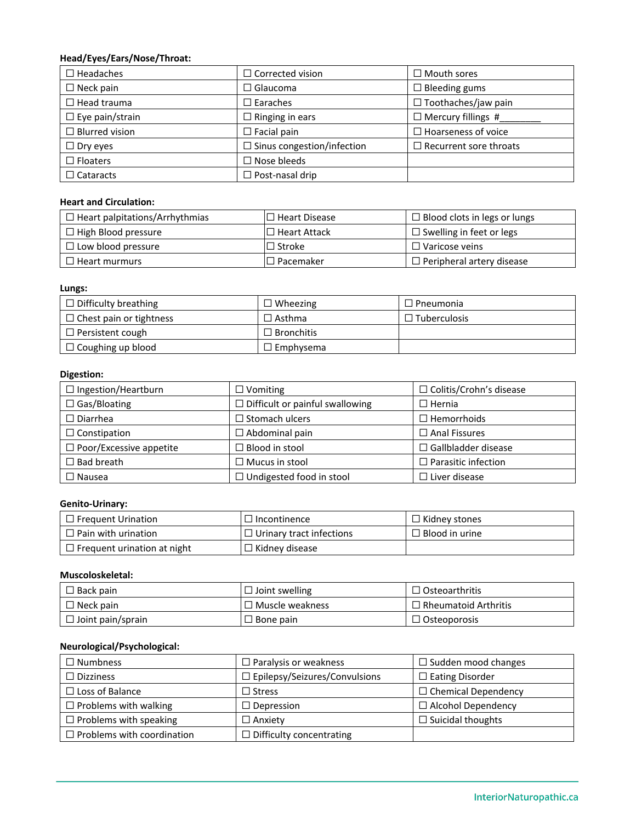# **Head/Eyes/Ears/Nose/Throat:**

| $\Box$ Headaches       | $\Box$ Corrected vision           | $\Box$ Mouth sores            |
|------------------------|-----------------------------------|-------------------------------|
| $\Box$ Neck pain       | $\Box$ Glaucoma                   | $\Box$ Bleeding gums          |
| $\Box$ Head trauma     | $\Box$ Earaches                   | $\Box$ Toothaches/jaw pain    |
| $\Box$ Eye pain/strain | $\Box$ Ringing in ears            | $\Box$ Mercury fillings #     |
| $\Box$ Blurred vision  | $\Box$ Facial pain                | $\Box$ Hoarseness of voice    |
| $\Box$ Dry eyes        | $\Box$ Sinus congestion/infection | $\Box$ Recurrent sore throats |
| $\Box$ Floaters        | $\Box$ Nose bleeds                |                               |
| $\Box$ Cataracts       | $\Box$ Post-nasal drip            |                               |

#### **Heart and Circulation:**

| $\Box$ Heart palpitations/Arrhythmias | $\Box$ Heart Disease | $\Box$ Blood clots in legs or lungs |
|---------------------------------------|----------------------|-------------------------------------|
| $\Box$ High Blood pressure            | $\Box$ Heart Attack  | $\Box$ Swelling in feet or legs     |
| $\Box$ Low blood pressure             | $\Box$ Stroke        | $\Box$ Varicose veins               |
| $\Box$ Heart murmurs                  | I□ Pacemaker         | $\Box$ Peripheral artery disease    |

## **Lungs:**

| $\Box$ Difficulty breathing    | Wheezing          | l Pneumonia         |
|--------------------------------|-------------------|---------------------|
| $\Box$ Chest pain or tightness | $\Box$ Asthma     | $\Box$ Tuberculosis |
| $\Box$ Persistent cough        | $\Box$ Bronchitis |                     |
| $\Box$ Coughing up blood       | l Emphysema       |                     |

## **Digestion:**

| $\Box$ Ingestion/Heartburn     | $\Box$ Vomiting                        | $\Box$ Colitis/Crohn's disease |
|--------------------------------|----------------------------------------|--------------------------------|
| $\Box$ Gas/Bloating            | $\Box$ Difficult or painful swallowing | $\Box$ Hernia                  |
| $\Box$ Diarrhea                | $\square$ Stomach ulcers               | $\Box$ Hemorrhoids             |
| $\Box$ Constipation            | $\Box$ Abdominal pain                  | $\Box$ Anal Fissures           |
| $\Box$ Poor/Excessive appetite | $\Box$ Blood in stool                  | $\Box$ Gallbladder disease     |
| $\Box$ Bad breath              | $\Box$ Mucus in stool                  | $\Box$ Parasitic infection     |
| $\Box$ Nausea                  | $\Box$ Undigested food in stool        | $\Box$ Liver disease           |

## **Genito-Urinary:**

| $\Box$ Frequent Urination          | $\Box$ Incontinence             | $\Box$ Kidney stones  |
|------------------------------------|---------------------------------|-----------------------|
| l Pain with urination              | $\Box$ Urinary tract infections | $\Box$ Blood in urine |
| $\Box$ Frequent urination at night | $\Box$ Kidney disease           |                       |

## **Muscoloskeletal:**

| Back pain                | Joint swelling         | $\Box$ Osteoarthritis       |
|--------------------------|------------------------|-----------------------------|
| l Neck pain              | $\Box$ Muscle weakness | $\Box$ Rheumatoid Arthritis |
| $\Box$ Joint pain/sprain | Bone pain              | $\Box$ Osteoporosis         |

## **Neurological/Psychological:**

| $\Box$ Numbness                   | $\Box$ Paralysis or weakness         | $\Box$ Sudden mood changes |
|-----------------------------------|--------------------------------------|----------------------------|
| $\Box$ Dizziness                  | $\Box$ Epilepsy/Seizures/Convulsions | $\Box$ Eating Disorder     |
| $\Box$ Loss of Balance            | $\square$ Stress                     | $\Box$ Chemical Dependency |
| $\Box$ Problems with walking      | $\Box$ Depression                    | $\Box$ Alcohol Dependency  |
| $\Box$ Problems with speaking     | $\Box$ Anxiety                       | $\Box$ Suicidal thoughts   |
| $\Box$ Problems with coordination | $\Box$ Difficulty concentrating      |                            |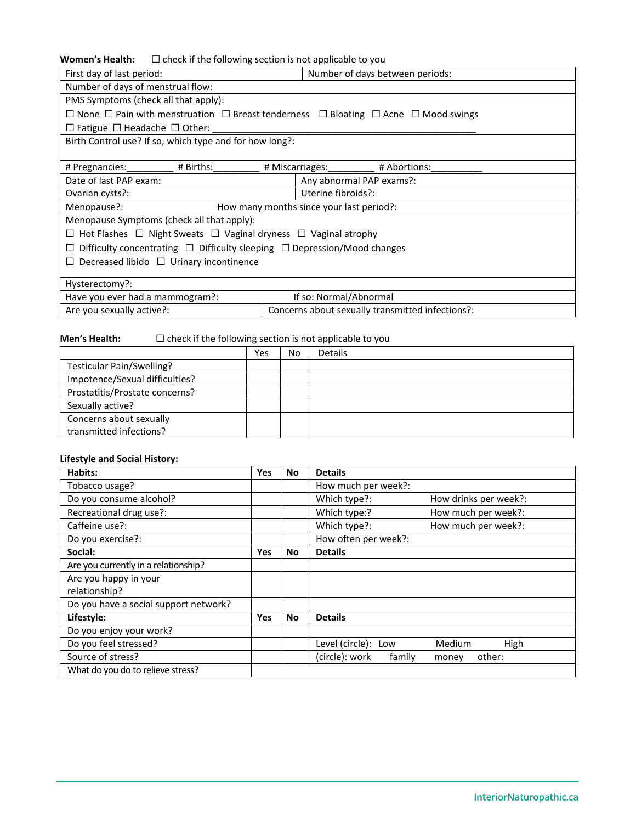**Women's Health:** □ check if the following section is not applicable to you

| <b>WOMEN's Health.</b> Later in the following section is not applicable to you      |                                             |  |  |  |  |
|-------------------------------------------------------------------------------------|---------------------------------------------|--|--|--|--|
| First day of last period:                                                           | Number of days between periods:             |  |  |  |  |
| Number of days of menstrual flow:                                                   |                                             |  |  |  |  |
| PMS Symptoms (check all that apply):                                                |                                             |  |  |  |  |
| □ None □ Pain with menstruation □ Breast tenderness □ Bloating □ Acne □ Mood swings |                                             |  |  |  |  |
| $\Box$ Fatigue $\Box$ Headache $\Box$ Other: _______                                |                                             |  |  |  |  |
| Birth Control use? If so, which type and for how long?:                             |                                             |  |  |  |  |
|                                                                                     |                                             |  |  |  |  |
| # Pregnancies: # Births:                                                            | # Miscarriages: __________ # Abortions: ___ |  |  |  |  |
| Date of last PAP exam:                                                              | Any abnormal PAP exams?:                    |  |  |  |  |
| Ovarian cysts?:                                                                     | Uterine fibroids?:                          |  |  |  |  |
| Menopause?:<br>How many months since your last period?:                             |                                             |  |  |  |  |
| Menopause Symptoms (check all that apply):                                          |                                             |  |  |  |  |
| Hot Flashes $\Box$ Night Sweats $\Box$ Vaginal dryness $\Box$ Vaginal atrophy       |                                             |  |  |  |  |
| Difficulty concentrating $\Box$ Difficulty sleeping $\Box$ Depression/Mood changes  |                                             |  |  |  |  |
| Decreased libido $\Box$ Urinary incontinence                                        |                                             |  |  |  |  |
|                                                                                     |                                             |  |  |  |  |
| Hysterectomy?:                                                                      |                                             |  |  |  |  |
| Have you ever had a mammogram?:                                                     | If so: Normal/Abnormal                      |  |  |  |  |
| Are you sexually active?:<br>Concerns about sexually transmitted infections?:       |                                             |  |  |  |  |

# **Men's Health:** □ check if the following section is not applicable to you

|                                | Yes | No | Details |
|--------------------------------|-----|----|---------|
| Testicular Pain/Swelling?      |     |    |         |
| Impotence/Sexual difficulties? |     |    |         |
| Prostatitis/Prostate concerns? |     |    |         |
| Sexually active?               |     |    |         |
| Concerns about sexually        |     |    |         |
| transmitted infections?        |     |    |         |

## **Lifestyle and Social History:**

| Habits:                               | Yes        | No        | <b>Details</b>                              |
|---------------------------------------|------------|-----------|---------------------------------------------|
| Tobacco usage?                        |            |           | How much per week?:                         |
| Do you consume alcohol?               |            |           | Which type?:<br>How drinks per week?:       |
| Recreational drug use?:               |            |           | How much per week?:<br>Which type:?         |
| Caffeine use?:                        |            |           | How much per week?:<br>Which type?:         |
| Do you exercise?:                     |            |           | How often per week?:                        |
| Social:                               | Yes        | No        | <b>Details</b>                              |
| Are you currently in a relationship?  |            |           |                                             |
| Are you happy in your                 |            |           |                                             |
| relationship?                         |            |           |                                             |
| Do you have a social support network? |            |           |                                             |
| Lifestyle:                            | <b>Yes</b> | <b>No</b> | <b>Details</b>                              |
| Do you enjoy your work?               |            |           |                                             |
| Do you feel stressed?                 |            |           | Level (circle): Low<br>Medium<br>High       |
| Source of stress?                     |            |           | (circle): work<br>family<br>other:<br>money |
| What do you do to relieve stress?     |            |           |                                             |